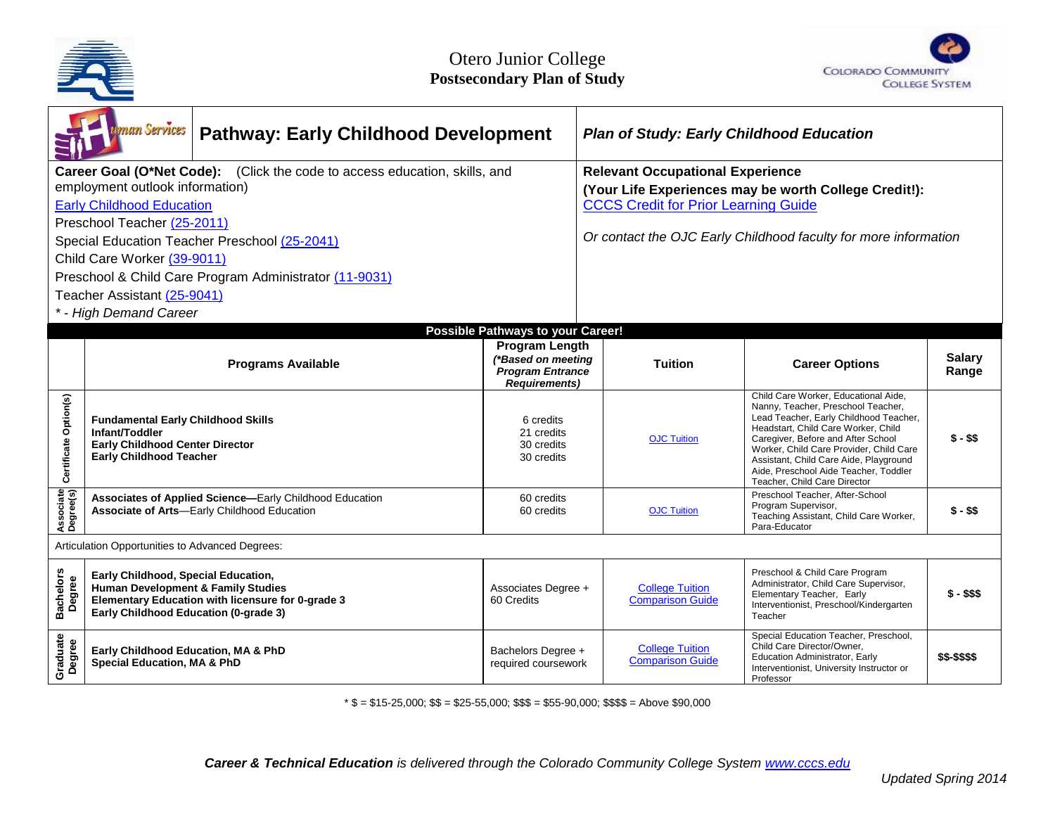



|                                                                            | uman Services<br><b>Pathway: Early Childhood Development</b>                                                                                                                       |                                                                                                        |                                                                       | <b>Plan of Study: Early Childhood Education</b>                 |                                                   |                                                                                                                                                                                                                                                                                                                                                                 |                        |
|----------------------------------------------------------------------------|------------------------------------------------------------------------------------------------------------------------------------------------------------------------------------|--------------------------------------------------------------------------------------------------------|-----------------------------------------------------------------------|-----------------------------------------------------------------|---------------------------------------------------|-----------------------------------------------------------------------------------------------------------------------------------------------------------------------------------------------------------------------------------------------------------------------------------------------------------------------------------------------------------------|------------------------|
| Career Goal (O*Net Code): (Click the code to access education, skills, and |                                                                                                                                                                                    |                                                                                                        |                                                                       | <b>Relevant Occupational Experience</b>                         |                                                   |                                                                                                                                                                                                                                                                                                                                                                 |                        |
| employment outlook information)                                            |                                                                                                                                                                                    |                                                                                                        |                                                                       | (Your Life Experiences may be worth College Credit!):           |                                                   |                                                                                                                                                                                                                                                                                                                                                                 |                        |
| <b>Early Childhood Education</b>                                           |                                                                                                                                                                                    |                                                                                                        |                                                                       | <b>CCCS Credit for Prior Learning Guide</b>                     |                                                   |                                                                                                                                                                                                                                                                                                                                                                 |                        |
| Preschool Teacher (25-2011)                                                |                                                                                                                                                                                    |                                                                                                        |                                                                       | Or contact the OJC Early Childhood faculty for more information |                                                   |                                                                                                                                                                                                                                                                                                                                                                 |                        |
| Special Education Teacher Preschool (25-2041)                              |                                                                                                                                                                                    |                                                                                                        |                                                                       |                                                                 |                                                   |                                                                                                                                                                                                                                                                                                                                                                 |                        |
| Child Care Worker (39-9011)                                                |                                                                                                                                                                                    |                                                                                                        |                                                                       |                                                                 |                                                   |                                                                                                                                                                                                                                                                                                                                                                 |                        |
| Preschool & Child Care Program Administrator (11-9031)                     |                                                                                                                                                                                    |                                                                                                        |                                                                       |                                                                 |                                                   |                                                                                                                                                                                                                                                                                                                                                                 |                        |
| Teacher Assistant (25-9041)                                                |                                                                                                                                                                                    |                                                                                                        |                                                                       |                                                                 |                                                   |                                                                                                                                                                                                                                                                                                                                                                 |                        |
| * - High Demand Career                                                     |                                                                                                                                                                                    |                                                                                                        |                                                                       |                                                                 |                                                   |                                                                                                                                                                                                                                                                                                                                                                 |                        |
|                                                                            | Possible Pathways to your Career!<br><b>Program Length</b>                                                                                                                         |                                                                                                        |                                                                       |                                                                 |                                                   |                                                                                                                                                                                                                                                                                                                                                                 |                        |
|                                                                            | <b>Programs Available</b>                                                                                                                                                          |                                                                                                        | (*Based on meeting<br><b>Program Entrance</b><br><b>Requirements)</b> | <b>Tuition</b>                                                  |                                                   | <b>Career Options</b>                                                                                                                                                                                                                                                                                                                                           | <b>Salary</b><br>Range |
| Certificate Option(s)                                                      | <b>Fundamental Early Childhood Skills</b><br>Infant/Toddler<br><b>Early Childhood Center Director</b><br><b>Early Childhood Teacher</b>                                            |                                                                                                        | 6 credits<br>21 credits<br>30 credits<br>30 credits                   |                                                                 | <b>OJC Tuition</b>                                | Child Care Worker, Educational Aide,<br>Nanny, Teacher, Preschool Teacher,<br>Lead Teacher, Early Childhood Teacher,<br>Headstart, Child Care Worker, Child<br>Caregiver, Before and After School<br>Worker, Child Care Provider, Child Care<br>Assistant, Child Care Aide, Playground<br>Aide, Preschool Aide Teacher, Toddler<br>Teacher, Child Care Director | $$ - $$$               |
| Associate<br>Degree(s)                                                     |                                                                                                                                                                                    | Associates of Applied Science-Early Childhood Education<br>Associate of Arts-Early Childhood Education | 60 credits<br>60 credits                                              |                                                                 | <b>OJC Tuition</b>                                | Preschool Teacher, After-School<br>Program Supervisor,<br>Teaching Assistant, Child Care Worker,<br>Para-Educator                                                                                                                                                                                                                                               | $$ - $$$               |
| Articulation Opportunities to Advanced Degrees:                            |                                                                                                                                                                                    |                                                                                                        |                                                                       |                                                                 |                                                   |                                                                                                                                                                                                                                                                                                                                                                 |                        |
| <b>Bachelors</b><br>Degree<br>ā,                                           | Early Childhood, Special Education,<br><b>Human Development &amp; Family Studies</b><br>Elementary Education with licensure for 0-grade 3<br>Early Childhood Education (0-grade 3) |                                                                                                        | Associates Degree +<br>60 Credits                                     |                                                                 | <b>College Tuition</b><br><b>Comparison Guide</b> | Preschool & Child Care Program<br>Administrator, Child Care Supervisor,<br>Elementary Teacher, Early<br>Interventionist, Preschool/Kindergarten<br>Teacher                                                                                                                                                                                                      | $$ - $$ \$             |
| Graduate<br>Degree                                                         | Early Childhood Education, MA & PhD<br><b>Special Education, MA &amp; PhD</b>                                                                                                      |                                                                                                        | Bachelors Degree +<br>required coursework                             |                                                                 | <b>College Tuition</b><br><b>Comparison Guide</b> | Special Education Teacher, Preschool,<br>Child Care Director/Owner.<br>Education Administrator, Early<br>Interventionist, University Instructor or<br>Professor                                                                                                                                                                                                 | \$\$-\$\$\$\$          |

\* \$ = \$15-25,000; \$\$ = \$25-55,000; \$\$\$ = \$55-90,000; \$\$\$\$ = Above \$90,000

*Career & Technical Education is delivered through the Colorado Community College System www.cccs.edu*